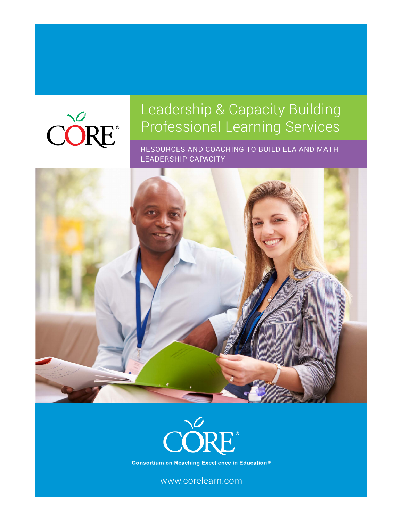# CORE®

# Leadership & Capacity Building Professional Learning Services

RESOURCES AND COACHING TO BUILD ELA AND MATH LEADERSHIP CAPACITY





**Consortium on Reaching Excellence in Education®** 

www.corelearn.com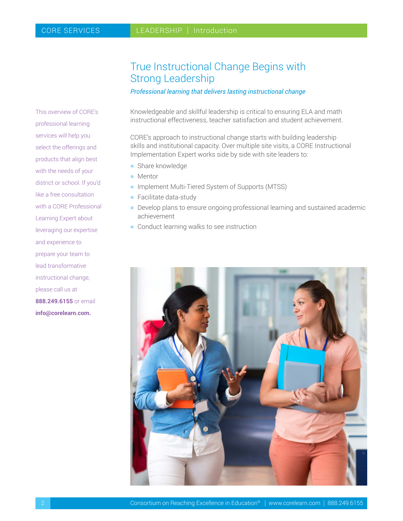This overview of CORE's professional learning services will help you select the offerings and products that align best with the needs of your district or school. If you'd like a free consultation with a CORE Professional Learning Expert about leveraging our expertise and experience to prepare your team to lead transformative instructional change, please call us at **888.249.6155** or email **info@corelearn.com.**

## True Instructional Change Begins with Strong Leadership

*Professional learning that delivers lasting instructional change*

Knowledgeable and skillful leadership is critical to ensuring ELA and math instructional effectiveness, teacher satisfaction and student achievement.

CORE's approach to instructional change starts with building leadership skills and institutional capacity. Over multiple site visits, a CORE Instructional Implementation Expert works side by side with site leaders to:

- **h** Share knowledge
- $\blacksquare$  Mentor
- **Implement Multi-Tiered System of Supports (MTSS)**
- $\blacksquare$  Facilitate data-study
- **Develop plans to ensure ongoing professional learning and sustained academic** achievement
- $\blacksquare$  Conduct learning walks to see instruction

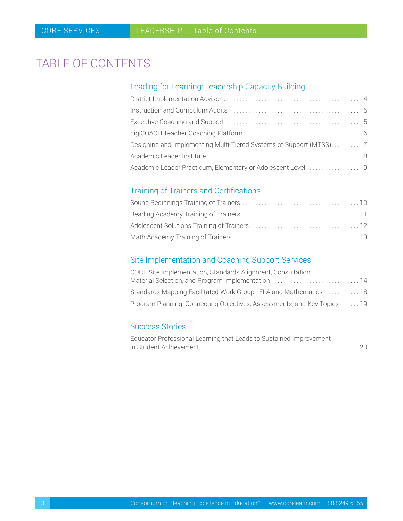# <span id="page-2-0"></span>TABLE OF CONTENTS

### Leading for Learning: Leadership Capacity Building

| Designing and Implementing Multi-Tiered Systems of Support (MTSS)7 |  |
|--------------------------------------------------------------------|--|
|                                                                    |  |
| Academic Leader Practicum, Elementary or Adolescent Level  9       |  |

## Training of Trainers and Certifications

## Site Implementation and Coaching Support Services

| CORE Site Implementation, Standards Alignment, Consultation,            |  |
|-------------------------------------------------------------------------|--|
| Material Selection, and Program Implementation 14                       |  |
| Standards Mapping Facilitated Work Group, ELA and Mathematics  18       |  |
| Program Planning: Connecting Objectives, Assessments, and Key Topics 19 |  |

#### Success Stories

| Educator Professional Learning that Leads to Sustained Improvement |
|--------------------------------------------------------------------|
|                                                                    |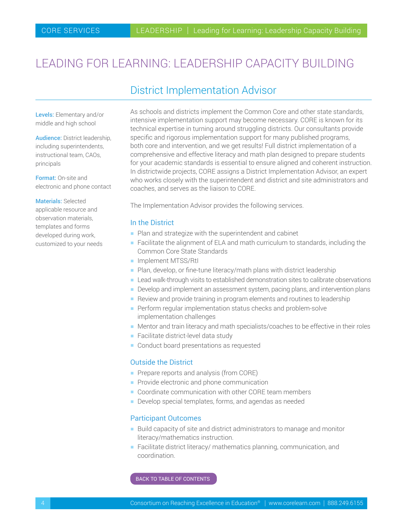# <span id="page-3-0"></span>LEADING FOR LEARNING: LEADERSHIP CAPACITY BUILDING

## District Implementation Advisor

Levels: Elementary and/or middle and high school

Audience: District leadership, including superintendents, instructional team, CAOs, principals

Format: On-site and electronic and phone contact

Materials: Selected applicable resource and observation materials, templates and forms developed during work, customized to your needs As schools and districts implement the Common Core and other state standards, intensive implementation support may become necessary. CORE is known for its technical expertise in turning around struggling districts. Our consultants provide specific and rigorous implementation support for many published programs, both core and intervention, and we get results! Full district implementation of a comprehensive and effective literacy and math plan designed to prepare students for your academic standards is essential to ensure aligned and coherent instruction. In districtwide projects, CORE assigns a District Implementation Advisor, an expert who works closely with the superintendent and district and site administrators and coaches, and serves as the liaison to CORE.

The Implementation Advisor provides the following services.

#### In the District

- $\blacksquare$  Plan and strategize with the superintendent and cabinet
- **Facilitate the alignment of ELA and math curriculum to standards, including the** Common Core State Standards
- **Implement MTSS/RtI**
- $\blacksquare$  Plan, develop, or fine-tune literacy/math plans with district leadership
- **-** Lead walk-through visits to established demonstration sites to calibrate observations
- Develop and implement an assessment system, pacing plans, and intervention plans
- $\blacksquare$  Review and provide training in program elements and routines to leadership
- $\blacksquare$  Perform regular implementation status checks and problem-solve implementation challenges
- Mentor and train literacy and math specialists/coaches to be effective in their roles
- $\blacksquare$  Facilitate district-level data study
- Conduct board presentations as requested

#### Outside the District

- **Prepare reports and analysis (from CORE)**
- $\blacksquare$  Provide electronic and phone communication
- **Coordinate communication with other CORE team members**
- Develop special templates, forms, and agendas as needed

#### Participant Outcomes

- Build capacity of site and district administrators to manage and monitor literacy/mathematics instruction.
- $\blacksquare$  Facilitate district literacy/ mathematics planning, communication, and coordination.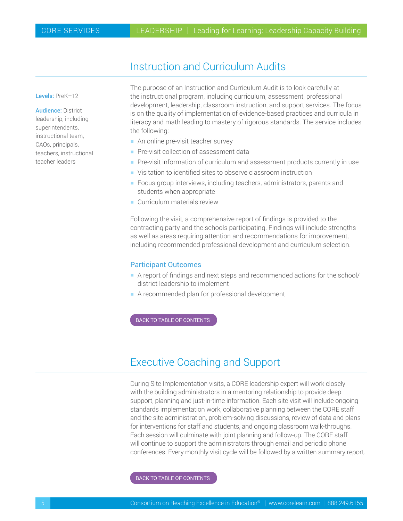## Instruction and Curriculum Audits

<span id="page-4-0"></span>Levels: PreK–12

Audience: District leadership, including superintendents, instructional team, CAOs, principals, teachers, instructional teacher leaders

The purpose of an Instruction and Curriculum Audit is to look carefully at the instructional program, including curriculum, assessment, professional development, leadership, classroom instruction, and support services. The focus is on the quality of implementation of evidence-based practices and curricula in literacy and math leading to mastery of rigorous standards. The service includes the following:

- An online pre-visit teacher survey
- **Pre-visit collection of assessment data**
- **Pre-visit information of curriculum and assessment products currently in use**
- **Visitation to identified sites to observe classroom instruction**
- **Focus group interviews, including teachers, administrators, parents and** students when appropriate
- $\blacksquare$  Curriculum materials review

Following the visit, a comprehensive report of findings is provided to the contracting party and the schools participating. Findings will include strengths as well as areas requiring attention and recommendations for improvement, including recommended professional development and curriculum selection.

#### Participant Outcomes

- A report of findings and next steps and recommended actions for the school/ district leadership to implement
- $\blacksquare$  A recommended plan for professional development

[BACK TO TABLE OF CONTENTS](#page-2-0)

## Executive Coaching and Support

During Site Implementation visits, a CORE leadership expert will work closely with the building administrators in a mentoring relationship to provide deep support, planning and just-in-time information. Each site visit will include ongoing standards implementation work, collaborative planning between the CORE staff and the site administration, problem-solving discussions, review of data and plans for interventions for staff and students, and ongoing classroom walk-throughs. Each session will culminate with joint planning and follow-up. The CORE staff will continue to support the administrators through email and periodic phone conferences. Every monthly visit cycle will be followed by a written summary report.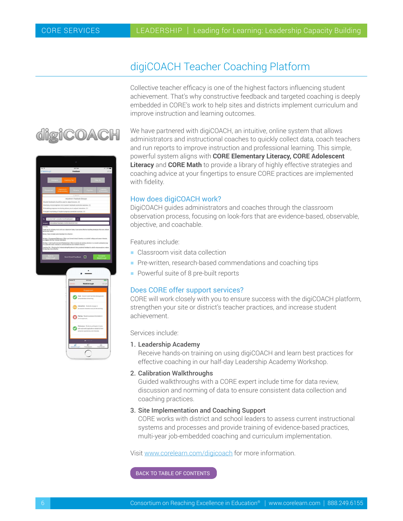<span id="page-5-0"></span>digiCOAC

## digiCOACH Teacher Coaching Platform

Collective teacher efficacy is one of the highest factors influencing student achievement. That's why constructive feedback and targeted coaching is deeply embedded in CORE's work to help sites and districts implement curriculum and improve instruction and learning outcomes.

We have partnered with digiCOACH, an intuitive, online system that allows administrators and instructional coaches to quickly collect data, coach teachers and run reports to improve instruction and professional learning. This simple, powerful system aligns with **CORE Elementary Literacy, CORE Adolescent Literacy** and **CORE Math** to provide a library of highly effective strategies and coaching advice at your fingertips to ensure CORE practices are implemented with fidelity.

#### How does digiCOACH work?

DigiCOACH guides administrators and coaches through the classroom observation process, focusing on look-fors that are evidence-based, observable, objective, and coachable.

Features include:

- $\blacksquare$  Classroom visit data collection
- **Pre-written, research-based commendations and coaching tips**
- Powerful suite of 8 pre-built reports

#### Does CORE offer support services?

CORE will work closely with you to ensure success with the digiCOACH platform, strengthen your site or district's teacher practices, and increase student achievement.

Services include:

#### 1. Leadership Academy

 Receive hands-on training on using digiCOACH and learn best practices for effective coaching in our half-day Leadership Academy Workshop.

#### 2. Calibration Walkthroughs

 Guided walkthroughs with a CORE expert include time for data review, discussion and norming of data to ensure consistent data collection and coaching practices.

#### 3. Site Implementation and Coaching Support

 CORE works with district and school leaders to assess current instructional systems and processes and provide training of evidence-based practices, multi-year job-embedded coaching and curriculum implementation.

Visit [www.corelearn.com/digicoach](http://www.corelearn.com/digicoach) for more information.

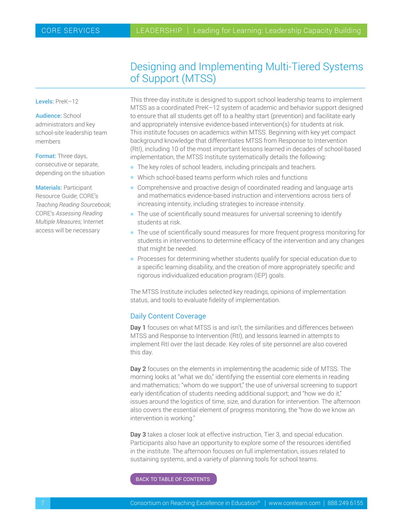## Designing and Implementing Multi-Tiered Systems of Support (MTSS)

<span id="page-6-0"></span>Levels: PreK-12

Audience: School administrators and key school-site leadership team members

Format: Three days, consecutive or separate, depending on the situation

Materials: Participant Resource Guide; CORE's *Teaching Reading Sourcebook;* CORE's *Assessing Reading Multiple Measures;* Internet access will be necessary

This three-day institute is designed to support school leadership teams to implement MTSS as a coordinated PreK–12 system of academic and behavior support designed to ensure that all students get off to a healthy start (prevention) and facilitate early and appropriately intensive evidence-based intervention(s) for students at risk. This institute focuses on academics within MTSS. Beginning with key yet compact background knowledge that differentiates MTSS from Response to Intervention (RtI), including 10 of the most important lessons learned in decades of school-based implementation, the MTSS Institute systematically details the following:

- $\blacksquare$  The key roles of school leaders, including principals and teachers.
- $\blacksquare$  Which school-based teams perform which roles and functions
- **EX Comprehensive and proactive design of coordinated reading and language arts** and mathematics evidence-based instruction and interventions across tiers of increasing intensity, including strategies to increase intensity.
- $\blacksquare$  The use of scientifically sound measures for universal screening to identify students at risk.
- **The use of scientifically sound measures for more frequent progress monitoring for** students in interventions to determine efficacy of the intervention and any changes that might be needed.
- **Processes for determining whether students qualify for special education due to** a specific learning disability, and the creation of more appropriately specific and rigorous individualized education program (IEP) goals.

The MTSS Institute includes selected key readings, opinions of implementation status, and tools to evaluate fidelity of implementation.

#### Daily Content Coverage

Day 1 focuses on what MTSS is and isn't, the similarities and differences between MTSS and Response to Intervention (RtI), and lessons learned in attempts to implement RtI over the last decade. Key roles of site personnel are also covered this day.

Day 2 focuses on the elements in implementing the academic side of MTSS. The morning looks at "what we do," identifying the essential core elements in reading and mathematics; "whom do we support," the use of universal screening to support early identification of students needing additional support; and "how we do it," issues around the logistics of time, size, and duration for intervention. The afternoon also covers the essential element of progress monitoring, the "how do we know an intervention is working."

Day 3 takes a closer look at effective instruction, Tier 3, and special education. Participants also have an opportunity to explore some of the resources identified in the institute. The afternoon focuses on full implementation, issues related to sustaining systems, and a variety of planning tools for school teams.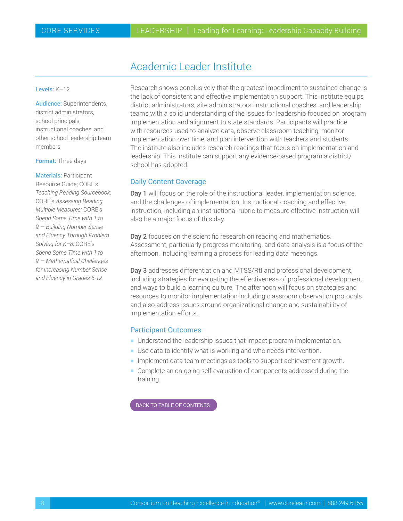## Academic Leader Institute

#### <span id="page-7-0"></span>Levels: K–12

Audience: Superintendents, district administrators, school principals, instructional coaches, and other school leadership team members

#### Format: Three days

Materials: Participant Resource Guide; CORE's *Teaching Reading Sourcebook;* CORE's *Assessing Reading Multiple Measures;* CORE's *Spend Some Time with 1 to 9 — Building Number Sense and Fluency Through Problem Solving for K–8;* CORE's *Spend Some Time with 1 to 9 — Mathematical Challenges for Increasing Number Sense and Fluency in Grades 6-12*

Research shows conclusively that the greatest impediment to sustained change is the lack of consistent and effective implementation support. This institute equips district administrators, site administrators, instructional coaches, and leadership teams with a solid understanding of the issues for leadership focused on program implementation and alignment to state standards. Participants will practice with resources used to analyze data, observe classroom teaching, monitor implementation over time, and plan intervention with teachers and students. The institute also includes research readings that focus on implementation and leadership. This institute can support any evidence-based program a district/ school has adopted.

#### Daily Content Coverage

Day 1 will focus on the role of the instructional leader, implementation science, and the challenges of implementation. Instructional coaching and effective instruction, including an instructional rubric to measure effective instruction will also be a major focus of this day.

Day 2 focuses on the scientific research on reading and mathematics. Assessment, particularly progress monitoring, and data analysis is a focus of the afternoon, including learning a process for leading data meetings.

Day 3 addresses differentiation and MTSS/RtI and professional development, including strategies for evaluating the effectiveness of professional development and ways to build a learning culture. The afternoon will focus on strategies and resources to monitor implementation including classroom observation protocols and also address issues around organizational change and sustainability of implementation efforts.

#### Participant Outcomes

- **H** Understand the leadership issues that impact program implementation.
- $\blacksquare$  Use data to identify what is working and who needs intervention.
- $\blacksquare$  Implement data team meetings as tools to support achievement growth.
- **Complete an on-going self-evaluation of components addressed during the** training.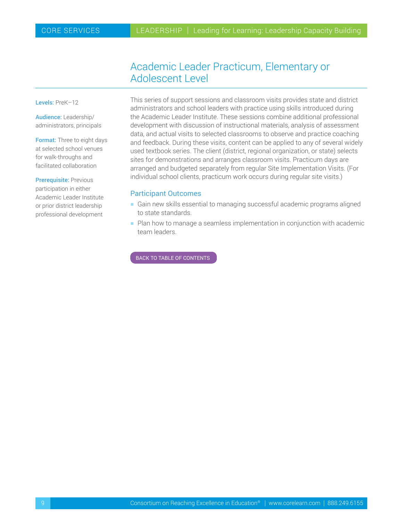## Academic Leader Practicum, Elementary or Adolescent Level

<span id="page-8-0"></span>Levels: PreK-12

Audience: Leadership/ administrators, principals

Format: Three to eight days at selected school venues for walk-throughs and facilitated collaboration

Prerequisite: Previous participation in either Academic Leader Institute or prior district leadership professional development

This series of support sessions and classroom visits provides state and district administrators and school leaders with practice using skills introduced during the Academic Leader Institute. These sessions combine additional professional development with discussion of instructional materials, analysis of assessment data, and actual visits to selected classrooms to observe and practice coaching and feedback. During these visits, content can be applied to any of several widely used textbook series. The client (district, regional organization, or state) selects sites for demonstrations and arranges classroom visits. Practicum days are arranged and budgeted separately from regular Site Implementation Visits. (For individual school clients, practicum work occurs during regular site visits.)

#### Participant Outcomes

- **Gain new skills essential to managing successful academic programs aligned** to state standards.
- $\blacksquare$  Plan how to manage a seamless implementation in conjunction with academic team leaders.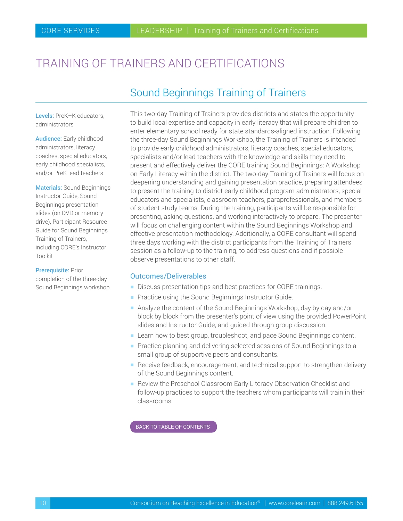# <span id="page-9-0"></span>TRAINING OF TRAINERS AND CERTIFICATIONS

## Sound Beginnings Training of Trainers

Levels: PreK-K educators, administrators

Audience: Early childhood administrators, literacy coaches, special educators, early childhood specialists, and/or PreK lead teachers

Materials: Sound Beginnings Instructor Guide, Sound Beginnings presentation slides (on DVD or memory drive), Participant Resource Guide for Sound Beginnings Training of Trainers, including CORE's Instructor Toolkit

#### **Prerequisite: Prior**

completion of the three-day Sound Beginnings workshop This two-day Training of Trainers provides districts and states the opportunity to build local expertise and capacity in early literacy that will prepare children to enter elementary school ready for state standards-aligned instruction. Following the three-day Sound Beginnings Workshop, the Training of Trainers is intended to provide early childhood administrators, literacy coaches, special educators, specialists and/or lead teachers with the knowledge and skills they need to present and effectively deliver the CORE training Sound Beginnings: A Workshop on Early Literacy within the district. The two-day Training of Trainers will focus on deepening understanding and gaining presentation practice, preparing attendees to present the training to district early childhood program administrators, special educators and specialists, classroom teachers, paraprofessionals, and members of student study teams. During the training, participants will be responsible for presenting, asking questions, and working interactively to prepare. The presenter will focus on challenging content within the Sound Beginnings Workshop and effective presentation methodology. Additionally, a CORE consultant will spend three days working with the district participants from the Training of Trainers session as a follow-up to the training, to address questions and if possible observe presentations to other staff.

#### Outcomes/Deliverables

- Discuss presentation tips and best practices for CORE trainings.
- $\blacksquare$  Practice using the Sound Beginnings Instructor Guide.
- Analyze the content of the Sound Beginnings Workshop, day by day and/or block by block from the presenter's point of view using the provided PowerPoint slides and Instructor Guide, and guided through group discussion.
- **Examen Learn how to best group, troubleshoot, and pace Sound Beginnings content.**
- **Practice planning and delivering selected sessions of Sound Beginnings to a** small group of supportive peers and consultants.
- **Receive feedback, encouragement, and technical support to strengthen delivery** of the Sound Beginnings content.
- **Review the Preschool Classroom Early Literacy Observation Checklist and** follow-up practices to support the teachers whom participants will train in their classrooms.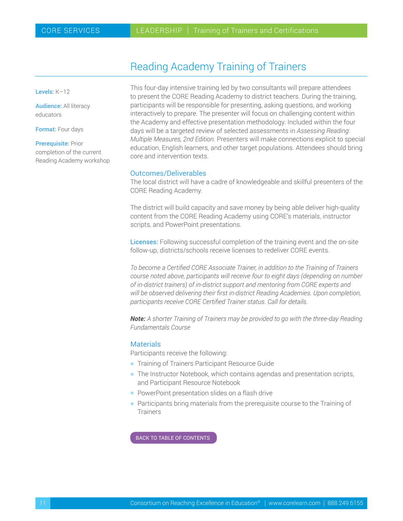## Reading Academy Training of Trainers

<span id="page-10-0"></span>Levels: K–12

Audience: All literacy educators

Format: Four days

Prerequisite: Prior completion of the current Reading Academy workshop This four-day intensive training led by two consultants will prepare attendees to present the CORE Reading Academy to district teachers. During the training, participants will be responsible for presenting, asking questions, and working interactively to prepare. The presenter will focus on challenging content within the Academy and effective presentation methodology. Included within the four days will be a targeted review of selected assessments in *Assessing Reading: Multiple Measures, 2nd Edition.* Presenters will make connections explicit to special education, English learners, and other target populations. Attendees should bring core and intervention texts.

#### Outcomes/Deliverables

The local district will have a cadre of knowledgeable and skillful presenters of the CORE Reading Academy.

The district will build capacity and save money by being able deliver high-quality content from the CORE Reading Academy using CORE's materials, instructor scripts, and PowerPoint presentations.

Licenses: Following successful completion of the training event and the on-site follow-up, districts/schools receive licenses to redeliver CORE events.

*To become a Certified CORE Associate Trainer, in addition to the Training of Trainers course noted above, participants will receive four to eight days (depending on number of in-district trainers) of in-district support and mentoring from CORE experts and will be observed delivering their first in-district Reading Academies. Upon completion, participants receive CORE Certified Trainer status. Call for details.*

*Note: A shorter Training of Trainers may be provided to go with the three-day Reading Fundamentals Course*

#### **Materials**

Participants receive the following:

- **Training of Trainers Participant Resource Guide**
- The Instructor Notebook, which contains agendas and presentation scripts, and Participant Resource Notebook
- **PowerPoint presentation slides on a flash drive**
- $\blacksquare$  Participants bring materials from the prerequisite course to the Training of **Trainers**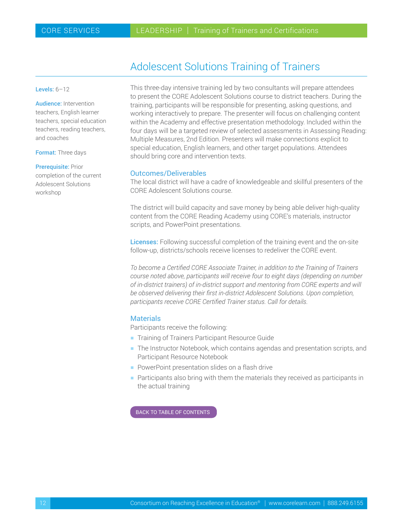## Adolescent Solutions Training of Trainers

<span id="page-11-0"></span>Levels:  $6-12$ 

Audience: Intervention teachers, English learner teachers, special education teachers, reading teachers, and coaches

Format: Three days

Prerequisite: Prior

completion of the current Adolescent Solutions workshop

This three-day intensive training led by two consultants will prepare attendees to present the CORE Adolescent Solutions course to district teachers. During the training, participants will be responsible for presenting, asking questions, and working interactively to prepare. The presenter will focus on challenging content within the Academy and effective presentation methodology. Included within the four days will be a targeted review of selected assessments in Assessing Reading: Multiple Measures, 2nd Edition. Presenters will make connections explicit to special education, English learners, and other target populations. Attendees should bring core and intervention texts.

#### Outcomes/Deliverables

The local district will have a cadre of knowledgeable and skillful presenters of the CORE Adolescent Solutions course.

The district will build capacity and save money by being able deliver high-quality content from the CORE Reading Academy using CORE's materials, instructor scripts, and PowerPoint presentations.

Licenses: Following successful completion of the training event and the on-site follow-up, districts/schools receive licenses to redeliver the CORE event.

*To become a Certified CORE Associate Trainer, in addition to the Training of Trainers course noted above, participants will receive four to eight days (depending on number of in-district trainers) of in-district support and mentoring from CORE experts and will be observed delivering their first in-district Adolescent Solutions. Upon completion, participants receive CORE Certified Trainer status. Call for details.*

#### **Materials**

Participants receive the following:

- **Training of Trainers Participant Resource Guide**
- **-** The Instructor Notebook, which contains agendas and presentation scripts, and Participant Resource Notebook
- **PowerPoint presentation slides on a flash drive**
- $\blacksquare$  Participants also bring with them the materials they received as participants in the actual training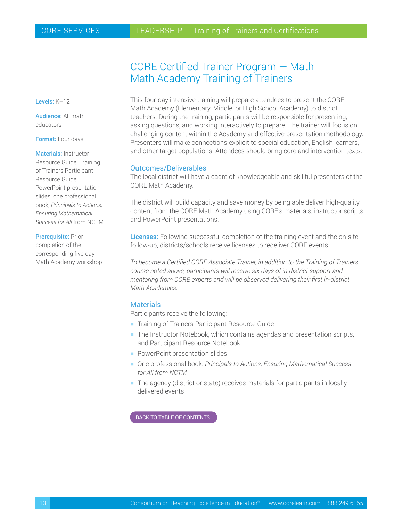## CORE Certified Trainer Program — Math Math Academy Training of Trainers

<span id="page-12-0"></span>Levels: K–12

Audience: All math educators

Format: Four days

Materials: Instructor Resource Guide, Training of Trainers Participant Resource Guide, PowerPoint presentation slides, one professional book, *Principals to Actions, Ensuring Mathematical Success for All* from NCTM

Prerequisite: Prior completion of the corresponding five-day Math Academy workshop This four-day intensive training will prepare attendees to present the CORE Math Academy (Elementary, Middle, or High School Academy) to district teachers. During the training, participants will be responsible for presenting, asking questions, and working interactively to prepare. The trainer will focus on challenging content within the Academy and effective presentation methodology. Presenters will make connections explicit to special education, English learners, and other target populations. Attendees should bring core and intervention texts.

#### Outcomes/Deliverables

The local district will have a cadre of knowledgeable and skillful presenters of the CORE Math Academy.

The district will build capacity and save money by being able deliver high-quality content from the CORE Math Academy using CORE's materials, instructor scripts, and PowerPoint presentations.

Licenses: Following successful completion of the training event and the on-site follow-up, districts/schools receive licenses to redeliver CORE events.

*To become a Certified CORE Associate Trainer, in addition to the Training of Trainers course noted above, participants will receive six days of in-district support and mentoring from CORE experts and will be observed delivering their first in-district Math Academies.*

#### **Materials**

Participants receive the following:

- **Training of Trainers Participant Resource Guide**
- $\blacksquare$  The Instructor Notebook, which contains agendas and presentation scripts, and Participant Resource Notebook
- **PowerPoint presentation slides**
- One professional book: *Principals to Actions, Ensuring Mathematical Success for All from NCTM*
- $\blacksquare$  The agency (district or state) receives materials for participants in locally delivered events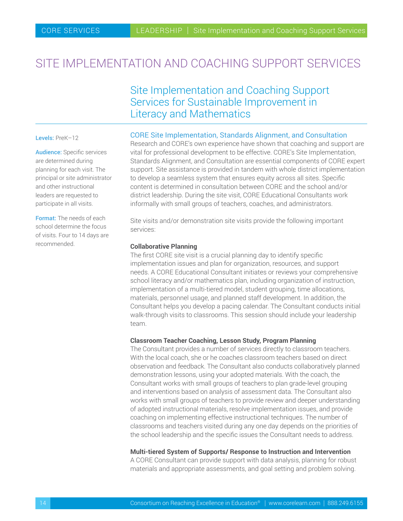# <span id="page-13-0"></span>SITE IMPLEMENTATION AND COACHING SUPPORT SERVICES

## Site Implementation and Coaching Support Services for Sustainable Improvement in Literacy and Mathematics

#### Levels: PreK-12

Audience: Specific services are determined during planning for each visit. The principal or site administrator and other instructional leaders are requested to participate in all visits.

Format: The needs of each school determine the focus of visits. Four to 14 days are recommended.

#### CORE Site Implementation, Standards Alignment, and Consultation

Research and CORE's own experience have shown that coaching and support are vital for professional development to be effective. CORE's Site Implementation, Standards Alignment, and Consultation are essential components of CORE expert support. Site assistance is provided in tandem with whole district implementation to develop a seamless system that ensures equity across all sites. Specific content is determined in consultation between CORE and the school and/or district leadership. During the site visit, CORE Educational Consultants work informally with small groups of teachers, coaches, and administrators.

Site visits and/or demonstration site visits provide the following important services:

#### **Collaborative Planning**

The first CORE site visit is a crucial planning day to identify specific implementation issues and plan for organization, resources, and support needs. A CORE Educational Consultant initiates or reviews your comprehensive school literacy and/or mathematics plan, including organization of instruction, implementation of a multi-tiered model, student grouping, time allocations, materials, personnel usage, and planned staff development. In addition, the Consultant helps you develop a pacing calendar. The Consultant conducts initial walk-through visits to classrooms. This session should include your leadership team.

#### **Classroom Teacher Coaching, Lesson Study, Program Planning**

The Consultant provides a number of services directly to classroom teachers. With the local coach, she or he coaches classroom teachers based on direct observation and feedback. The Consultant also conducts collaboratively planned demonstration lessons, using your adopted materials. With the coach, the Consultant works with small groups of teachers to plan grade-level grouping and interventions based on analysis of assessment data. The Consultant also works with small groups of teachers to provide review and deeper understanding of adopted instructional materials, resolve implementation issues, and provide coaching on implementing effective instructional techniques. The number of classrooms and teachers visited during any one day depends on the priorities of the school leadership and the specific issues the Consultant needs to address.

#### **Multi-tiered System of Supports/ Response to Instruction and Intervention**

A CORE Consultant can provide support with data analysis, planning for robust materials and appropriate assessments, and goal setting and problem solving.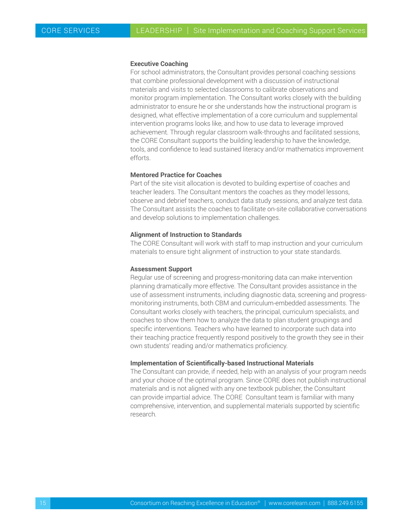#### **Executive Coaching**

For school administrators, the Consultant provides personal coaching sessions that combine professional development with a discussion of instructional materials and visits to selected classrooms to calibrate observations and monitor program implementation. The Consultant works closely with the building administrator to ensure he or she understands how the instructional program is designed, what effective implementation of a core curriculum and supplemental intervention programs looks like, and how to use data to leverage improved achievement. Through regular classroom walk-throughs and facilitated sessions, the CORE Consultant supports the building leadership to have the knowledge, tools, and confidence to lead sustained literacy and/or mathematics improvement efforts.

#### **Mentored Practice for Coaches**

Part of the site visit allocation is devoted to building expertise of coaches and teacher leaders. The Consultant mentors the coaches as they model lessons, observe and debrief teachers, conduct data study sessions, and analyze test data. The Consultant assists the coaches to facilitate on-site collaborative conversations and develop solutions to implementation challenges.

#### **Alignment of Instruction to Standards**

The CORE Consultant will work with staff to map instruction and your curriculum materials to ensure tight alignment of instruction to your state standards.

#### **Assessment Support**

Regular use of screening and progress-monitoring data can make intervention planning dramatically more effective. The Consultant provides assistance in the use of assessment instruments, including diagnostic data, screening and progressmonitoring instruments, both CBM and curriculum-embedded assessments. The Consultant works closely with teachers, the principal, curriculum specialists, and coaches to show them how to analyze the data to plan student groupings and specific interventions. Teachers who have learned to incorporate such data into their teaching practice frequently respond positively to the growth they see in their own students' reading and/or mathematics proficiency.

#### **Implementation of Scientifically-based Instructional Materials**

The Consultant can provide, if needed, help with an analysis of your program needs and your choice of the optimal program. Since CORE does not publish instructional materials and is not aligned with any one textbook publisher, the Consultant can provide impartial advice. The CORE Consultant team is familiar with many comprehensive, intervention, and supplemental materials supported by scientific research.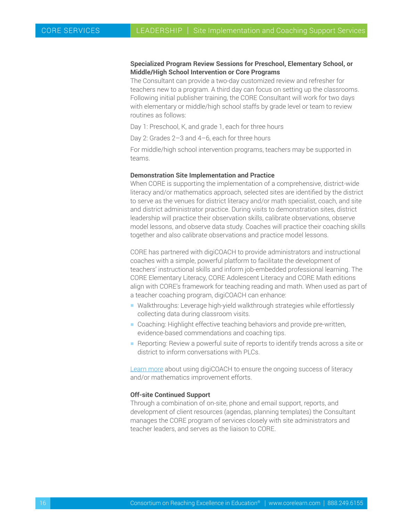#### **Specialized Program Review Sessions for Preschool, Elementary School, or Middle/High School Intervention or Core Programs**

The Consultant can provide a two-day customized review and refresher for teachers new to a program. A third day can focus on setting up the classrooms. Following initial publisher training, the CORE Consultant will work for two days with elementary or middle/high school staffs by grade level or team to review routines as follows:

Day 1: Preschool, K, and grade 1, each for three hours

Day 2: Grades 2–3 and 4–6, each for three hours

For middle/high school intervention programs, teachers may be supported in teams.

#### **Demonstration Site Implementation and Practice**

When CORE is supporting the implementation of a comprehensive, district-wide literacy and/or mathematics approach, selected sites are identified by the district to serve as the venues for district literacy and/or math specialist, coach, and site and district administrator practice. During visits to demonstration sites, district leadership will practice their observation skills, calibrate observations, observe model lessons, and observe data study. Coaches will practice their coaching skills together and also calibrate observations and practice model lessons.

CORE has partnered with digiCOACH to provide administrators and instructional coaches with a simple, powerful platform to facilitate the development of teachers' instructional skills and inform job-embedded professional learning. The CORE Elementary Literacy, CORE Adolescent Literacy and CORE Math editions align with CORE's framework for teaching reading and math. When used as part of a teacher coaching program, digiCOACH can enhance:

- Walkthroughs: Leverage high-yield walkthrough strategies while effortlessly collecting data during classroom visits.
- Coaching: Highlight effective teaching behaviors and provide pre-written, evidence-based commendations and coaching tips.
- $\blacksquare$  Reporting: Review a powerful suite of reports to identify trends across a site or district to inform conversations with PLCs.

[Learn more](#page-5-0) about using digiCOACH to ensure the ongoing success of literacy and/or mathematics improvement efforts.

#### **Off-site Continued Support**

Through a combination of on-site, phone and email support, reports, and development of client resources (agendas, planning templates) the Consultant manages the CORE program of services closely with site administrators and teacher leaders, and serves as the liaison to CORE.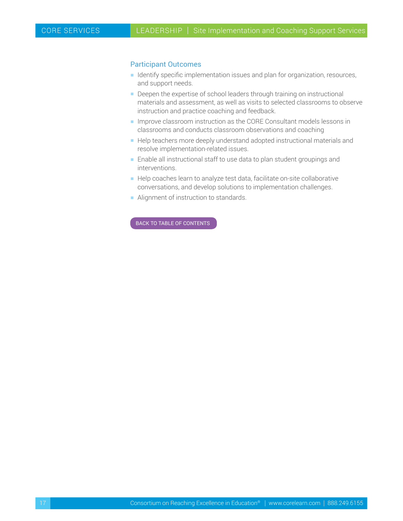#### Participant Outcomes

- **H** Identify specific implementation issues and plan for organization, resources, and support needs.
- Deepen the expertise of school leaders through training on instructional materials and assessment, as well as visits to selected classrooms to observe instruction and practice coaching and feedback.
- **Improve classroom instruction as the CORE Consultant models lessons in** classrooms and conducts classroom observations and coaching
- $\blacksquare$  Help teachers more deeply understand adopted instructional materials and resolve implementation-related issues.
- $\blacksquare$  Enable all instructional staff to use data to plan student groupings and interventions.
- Help coaches learn to analyze test data, facilitate on-site collaborative conversations, and develop solutions to implementation challenges.
- **-** Alignment of instruction to standards.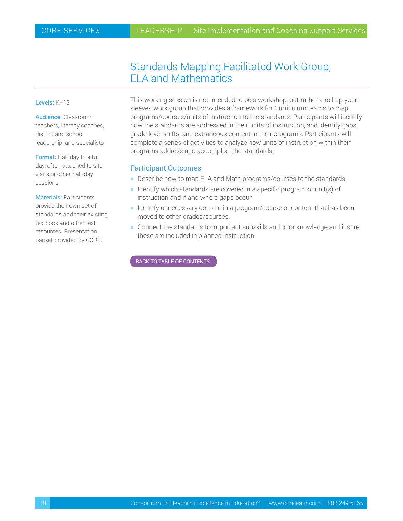## Standards Mapping Facilitated Work Group, ELA and Mathematics

#### <span id="page-17-0"></span>Levels: K–12

Audience: Classroom teachers, literacy coaches, district and school leadership, and specialists

Format: Half day to a full day, often attached to site visits or other half-day sessions

Materials: Participants provide their own set of standards and their existing textbook and other text resources. Presentation packet provided by CORE.

This working session is not intended to be a workshop, but rather a roll-up-yoursleeves work group that provides a framework for Curriculum teams to map programs/courses/units of instruction to the standards. Participants will identify how the standards are addressed in their units of instruction, and identify gaps, grade-level shifts, and extraneous content in their programs. Participants will complete a series of activities to analyze how units of instruction within their programs address and accomplish the standards.

#### Participant Outcomes

- Describe how to map ELA and Math programs/courses to the standards.
- **I** Identify which standards are covered in a specific program or unit(s) of instruction and if and where gaps occur.
- **H** Identify unnecessary content in a program/course or content that has been moved to other grades/courses.
- $\blacksquare$  Connect the standards to important subskills and prior knowledge and insure these are included in planned instruction.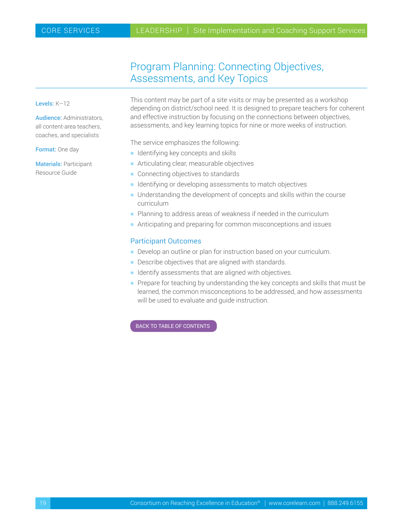## Program Planning: Connecting Objectives, Assessments, and Key Topics

#### <span id="page-18-0"></span>Levels: K–12

Audience: Administrators, all content-area teachers, coaches, and specialists

Format: One day

Materials: Participant Resource Guide

This content may be part of a site visits or may be presented as a workshop depending on district/school need. It is designed to prepare teachers for coherent and effective instruction by focusing on the connections between objectives, assessments, and key learning topics for nine or more weeks of instruction.

The service emphasizes the following:

- $\blacksquare$  Identifying key concepts and skills
- $\blacksquare$  Articulating clear, measurable objectives
- $\blacksquare$  Connecting objectives to standards
- $\blacksquare$  Identifying or developing assessments to match objectives
- $\blacksquare$  Understanding the development of concepts and skills within the course curriculum
- $\blacksquare$  Planning to address areas of weakness if needed in the curriculum
- $\blacksquare$  Anticipating and preparing for common misconceptions and issues

#### Participant Outcomes

- Develop an outline or plan for instruction based on your curriculum.
- $\blacksquare$  Describe objectives that are aligned with standards.
- $\blacksquare$  Identify assessments that are aligned with objectives.
- $\blacksquare$  Prepare for teaching by understanding the key concepts and skills that must be learned, the common misconceptions to be addressed, and how assessments will be used to evaluate and guide instruction.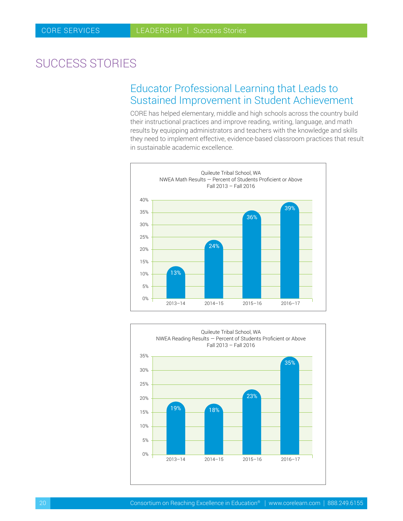# <span id="page-19-0"></span>SUCCESS STORIES

## Educator Professional Learning that Leads to Sustained Improvement in Student Achievement

CORE has helped elementary, middle and high schools across the country build their instructional practices and improve reading, writing, language, and math results by equipping administrators and teachers with the knowledge and skills they need to implement effective, evidence-based classroom practices that result in sustainable academic excellence.